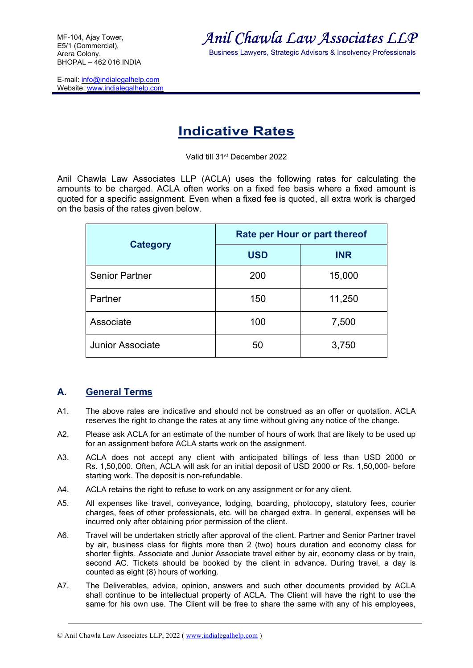E-mail: info@indialegalhelp.com Website: www.indialegalhelp.com



Business Lawyers, Strategic Advisors & Insolvency Professionals

## Indicative Rates

Valid till 31st December 2022

Anil Chawla Law Associates LLP (ACLA) uses the following rates for calculating the amounts to be charged. ACLA often works on a fixed fee basis where a fixed amount is quoted for a specific assignment. Even when a fixed fee is quoted, all extra work is charged on the basis of the rates given below.

| <b>Category</b>         | Rate per Hour or part thereof |            |
|-------------------------|-------------------------------|------------|
|                         | <b>USD</b>                    | <b>INR</b> |
| <b>Senior Partner</b>   | 200                           | 15,000     |
| Partner                 | 150                           | 11,250     |
| Associate               | 100                           | 7,500      |
| <b>Junior Associate</b> | 50                            | 3,750      |

## A. General Terms

- A1. The above rates are indicative and should not be construed as an offer or quotation. ACLA reserves the right to change the rates at any time without giving any notice of the change.
- A2. Please ask ACLA for an estimate of the number of hours of work that are likely to be used up for an assignment before ACLA starts work on the assignment.
- A3. ACLA does not accept any client with anticipated billings of less than USD 2000 or Rs. 1,50,000. Often, ACLA will ask for an initial deposit of USD 2000 or Rs. 1,50,000- before starting work. The deposit is non-refundable.
- A4. ACLA retains the right to refuse to work on any assignment or for any client.
- A5. All expenses like travel, conveyance, lodging, boarding, photocopy, statutory fees, courier charges, fees of other professionals, etc. will be charged extra. In general, expenses will be incurred only after obtaining prior permission of the client.
- A6. Travel will be undertaken strictly after approval of the client. Partner and Senior Partner travel by air, business class for flights more than 2 (two) hours duration and economy class for shorter flights. Associate and Junior Associate travel either by air, economy class or by train, second AC. Tickets should be booked by the client in advance. During travel, a day is counted as eight (8) hours of working.
- A7. The Deliverables, advice, opinion, answers and such other documents provided by ACLA shall continue to be intellectual property of ACLA. The Client will have the right to use the same for his own use. The Client will be free to share the same with any of his employees,

<sup>©</sup> Anil Chawla Law Associates LLP, 2022 ( www.indialegalhelp.com )